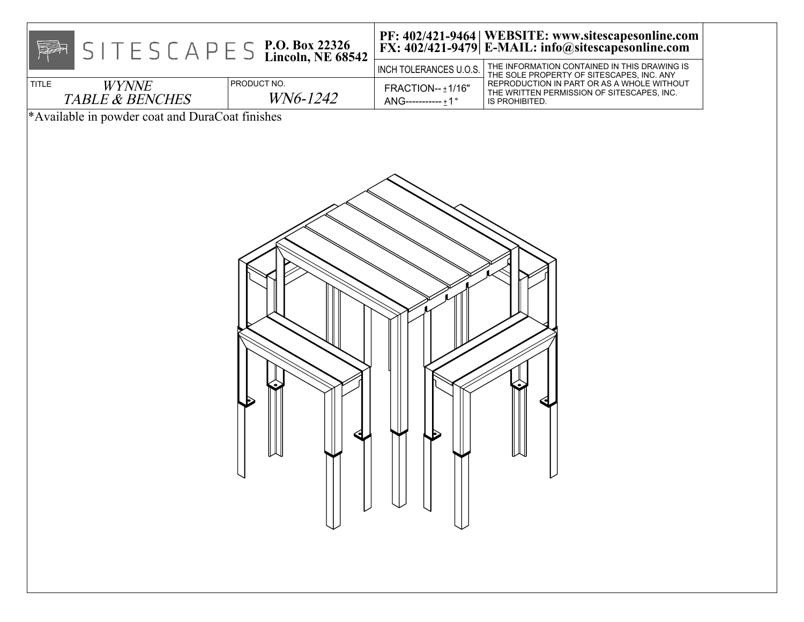| $S \rvert T \rvert E S \rvert C A P \rvert E S \rvert E \rvert D \rvert$ . Box 22326<br><b>Reac</b> |                         | INCH TOLERANCES U.O.S.                                                                                                                                   | PF: 402/421-9464   WEBSITE: www.sitescapesonline.com<br>FX: 402/421-9479   E-MAIL: info@sitescapesonline.com<br>THE INFORMATION CONTAINED IN THIS DRAWING IS |
|-----------------------------------------------------------------------------------------------------|-------------------------|----------------------------------------------------------------------------------------------------------------------------------------------------------|--------------------------------------------------------------------------------------------------------------------------------------------------------------|
| TITLE<br><b>WYNNE</b><br><b>TABLE &amp; BENCHES</b>                                                 | PRODUCT NO.<br>WN6-1242 | FRACTION-- ±1/16"<br>ANG----------- ±1°                                                                                                                  | THE SOLE PROPERTY OF SITESCAPES, INC. ANY<br>REPRODUCTION IN PART OR AS A WHOLE WITHOUT<br>THE WRITTEN PERMISSION OF SITESCAPES, INC.<br>IS PROHIBITED.      |
| *Available in powder coat and DuraCoat finishes                                                     |                         |                                                                                                                                                          |                                                                                                                                                              |
|                                                                                                     |                         | $\begin{array}{c} \begin{array}{c} \begin{array}{c} \end{array} \\ \begin{array}{c} \end{array} \\ \begin{array}{c} \end{array} \end{array} \end{array}$ | レ                                                                                                                                                            |